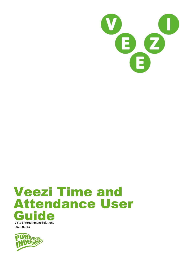

# Veezi Time and Attendance User **Guide**

Vista Entertainment Solutions 2022-06-13

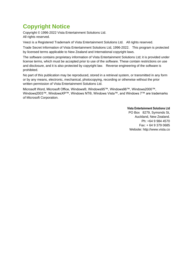# <span id="page-1-0"></span>**Copyright Notice**

Copyright © 1996-2022 Vista Entertainment Solutions Ltd. All rights reserved.

Veezi is a Registered Trademark of Vista Entertainment Solutions Ltd. All rights reserved.

Trade Secret Information of Vista Entertainment Solutions Ltd, 1996-2022. This program is protected by licensed terms applicable to New Zealand and International copyright laws.

The software contains proprietary information of Vista Entertainment Solutions Ltd; it is provided under license terms, which must be accepted prior to use of the software. These contain restrictions on use and disclosure, and it is also protected by copyright law. Reverse engineering of the software is prohibited.

No part of this publication may be reproduced, stored in a retrieval system, or transmitted in any form or by any means, electronic, mechanical, photocopying, recording or otherwise without the prior written permission of Vista Entertainment Solutions Ltd.

Microsoft Word, Microsoft Office, Windows®, Windows95™, Windows98™, Windows2000™, Windows2003™, WindowsXP™, Windows NT®, Windows Vista™, and Windows 7™ are trademarks of Microsoft Corporation.

> **Vista Entertainment Solutions Ltd** PO Box 8279, Symonds St, Auckland, New Zealand. Ph: +64 9 984 4570 Fax: + 64 9 379 0685 Website: http://www.vista.co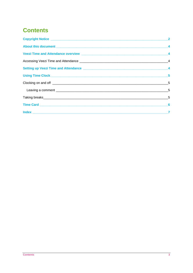# **Contents**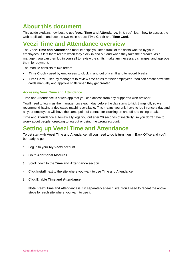# <span id="page-3-0"></span>**About this document**

This guide explains how best to use **Veezi Time and Attendance**. In it, you'll learn how to access the web application and use the two main areas: **Time Clock** and **Time Card**.

# <span id="page-3-1"></span>**Veezi Time and Attendance overview**

The Veezi **Time and Attendance** module helps you keep track of the shifts worked by your employees. It lets them record when they clock in and out and when they take their breaks. As a manager, you can then log in yourself to review the shifts, make any necessary changes, and approve them for payment.

The module consists of two areas:

- **Time Clock** used by employees to clock in and out of a shift and to record breaks.
- **Time Card** used by managers to review time cards for their employees. You can create new time cards manually and approve shifts when they get created.

#### <span id="page-3-2"></span>**Accessing Veezi Time and Attendance**

Time and Attendance is a web app that you can access from any supported web browser.

You'll need to log in as the manager once each day before the day starts to kick things off, so we recommend having a dedicated machine available. This means you only have to log in once a day and all your employees will have the same point of contact for clocking on and off and taking breaks.

Time and Attendance automatically logs you out after 20 seconds of inactivity, so you don't have to worry about people forgetting to log out or using the wrong account.

## <span id="page-3-3"></span>**Setting up Veezi Time and Attendance**

To get start with Veezi Time and Attendance, all you need to do is turn it on in Back Office and you'll be ready to go.

- 1. Log in to your **My Veezi** account.
- 2. Go to **Additional Modules**.
- 3. Scroll down to the **Time and Attendance** section.
- 4. Click **Install** next to the site where you want to use Time and Attendance.
- 5. Click **Enable Time and Attendance**.

**Note**: Veezi Time and Attendance is run separately at each site. You'll need to repeat the above steps for each site where you want to use it.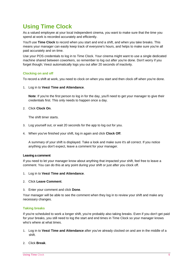# <span id="page-4-0"></span>**Using Time Clock**

As a valued employee at your local independent cinema, you want to make sure that the time you spend at work is recorded accurately and efficiently.

You'll use **Time Clock** to record when you start and end a shift, and when you take breaks. This means your manager can easily keep track of everyone's hours, and helps to make sure you're all paid accurately and on time.

Use your POS credentials to log in to Time Clock. Your cinema might want to use a single dedicated machine shared between coworkers, so remember to log out after you're done. Don't worry if you forget though; Veezi automatically logs you out after 20 seconds of inactivity.

#### <span id="page-4-1"></span>**Clocking on and off**

To record a shift at work, you need to clock on when you start and then clock off when you're done.

1. Log in to **Veezi Time and Attendance**.

**Note**: If you're the first person to log in for the day, you'll need to get your manager to give their credentials first. This only needs to happen once a day.

2. Click **Clock On**.

The shift timer starts.

- 3. Log yourself out, or wait 20 seconds for the app to log out for you.
- 4. When you've finished your shift, log in again and click **Clock Off**.

A summary of your shift is displayed. Take a look and make sure it's all correct. If you notice anything you don't expect, leave a comment for your manager.

#### <span id="page-4-2"></span>**Leaving a comment**

If you need to let your manager know about anything that impacted your shift, feel free to leave a comment. You can do this at any point during your shift or just after you clock off.

- 1. Log in to **Veezi Time and Attendance**.
- 2. Click **Leave Comment**.
- 3. Enter your comment and click **Done**.

Your manager will be able to see the comment when they log in to review your shift and make any necessary changes.

#### <span id="page-4-3"></span>**Taking breaks**

If you're scheduled to work a longer shift, you're probably also taking breaks. Even if you don't get paid for your breaks, you still need to log the start and end times in Time Clock so your manager knows who's where at what times.

- 1. Log in to **Veezi Time and Attendance** after you've already clocked on and are in the middle of a shift.
- 2. Click **Break**.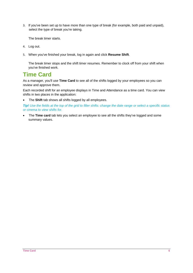3. If you've been set up to have more than one type of break (for example, both paid and unpaid), select the type of break you're taking.

The break timer starts.

- 4. Log out.
- 5. When you've finished your break, log in again and click **Resume Shift**.

The break timer stops and the shift timer resumes. Remember to clock off from your shift when you've finished work.

## <span id="page-5-0"></span>**Time Card**

As a manager, you'll use **Time Card** to see all of the shifts logged by your employees so you can review and approve them.

Each recorded shift for an employee displays in Time and Attendance as a time card. You can view shifts in two places in the application:

• The **Shift** tab shows all shifts logged by all employees.

*Tip! Use the fields at the top of the grid to filter shifts: change the date range or select a specific status or cinema to view shifts for.*

• The **Time card** tab lets you select an employee to see all the shifts they've logged and some summary values.